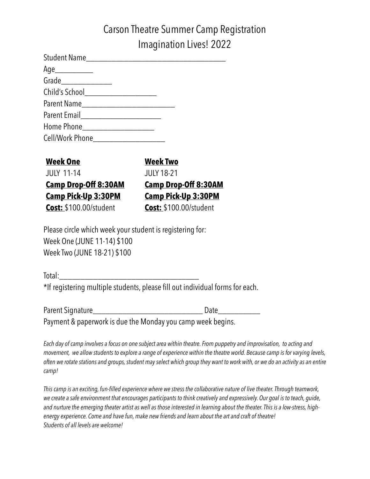# Carson Theatre Summer Camp Registration Imagination Lives! 2022

| Age                                   |  |
|---------------------------------------|--|
| Grade________________                 |  |
|                                       |  |
|                                       |  |
|                                       |  |
|                                       |  |
| Cell/Work Phone______________________ |  |

| Week One                      | <b>Week Two</b>               |
|-------------------------------|-------------------------------|
| <b>JULY 11-14</b>             | <b>JULY 18-21</b>             |
| <u>Camp Drop-Off 8:30AM</u>   | <b>Camp Drop-Off 8:30AM</b>   |
| <b>Camp Pick-Up 3:30PM</b>    | <b>Camp Pick-Up 3:30PM</b>    |
| <b>Cost:</b> \$100.00/student | <b>Cost: \$100.00/student</b> |

Please circle which week your student is registering for: Week One (JUNE 11-14) \$100 Week Two (JUNE 18-21) \$100

Total:\_\_\_\_\_\_\_\_\_\_\_\_\_\_\_\_\_\_\_\_\_\_\_\_\_\_\_\_\_\_\_\_\_ \*If registering multiple students, please fill out individual forms for each.

Parent Signature\_\_\_\_\_\_\_\_\_\_\_\_\_\_\_\_\_\_\_\_\_\_\_\_\_\_ Date\_\_\_\_\_\_\_\_\_\_ Payment & paperwork is due the Monday you camp week begins.

*Each day of camp involves a focus on one subject area within theatre. From puppetry and improvisation, to acting and movement, we allow students to explore a range of experience within the theatre world. Because camp is for varying levels, often we rotate stations and groups, student may select which group they want to work with, or we do an activity as an entire camp!* 

*This camp is an exciting, fun-filled experience where we stress the collaborative nature of live theater. Through teamwork, we create a safe environment that encourages participants to think creatively and expressively. Our goal is to teach, guide, and nurture the emerging theater artist as well as those interested in learning about the theater. This is a low-stress, highenergy experience. Come and have fun, make new friends and learn about the art and craft of theatre! Students of all levels are welcome!*